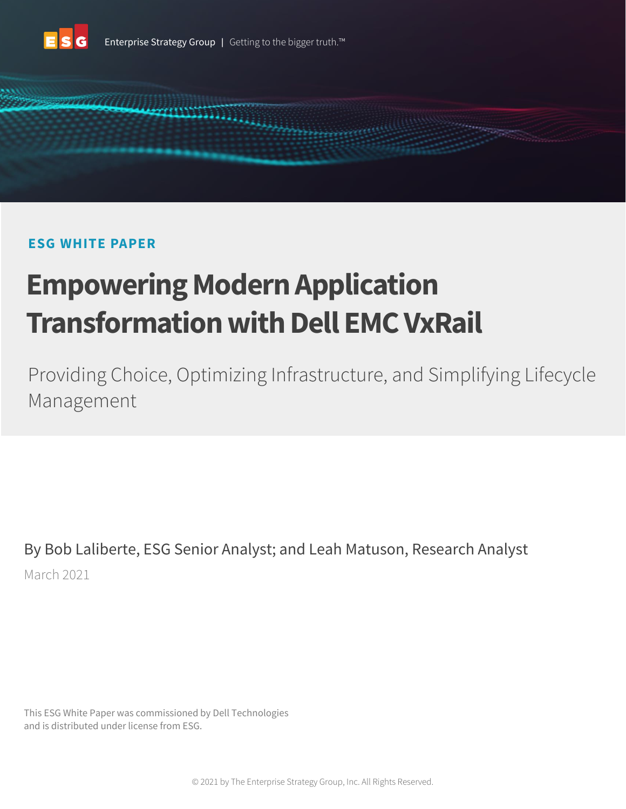



# **ESG WHITE PAPER**

# **Empowering Modern Application Transformation with Dell EMC VxRail**

Providing Choice, Optimizing Infrastructure, and Simplifying Lifecycle Management

By Bob Laliberte, ESG Senior Analyst; and Leah Matuson, Research Analyst March 2021

This ESG White Paper was commissioned by Dell Technologies and is distributed under license from ESG.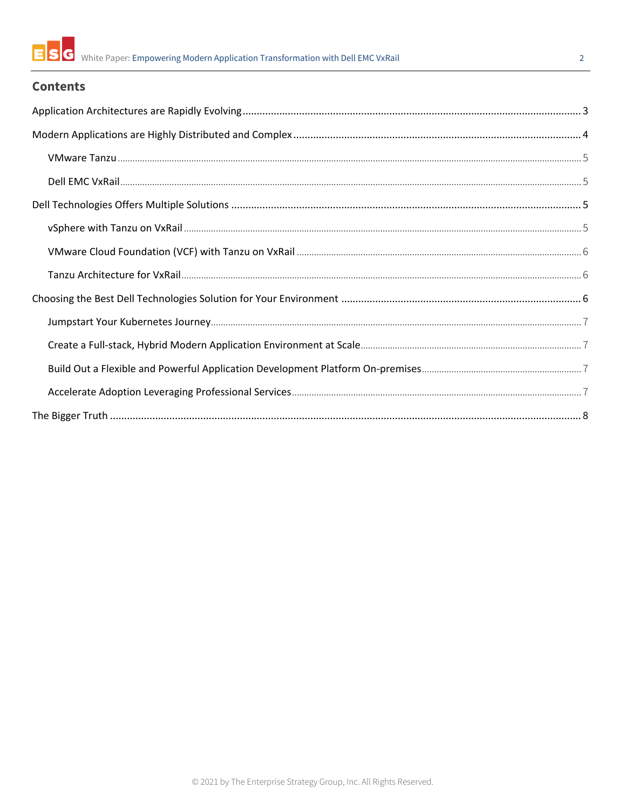

#### $\overline{2}$

## **Contents**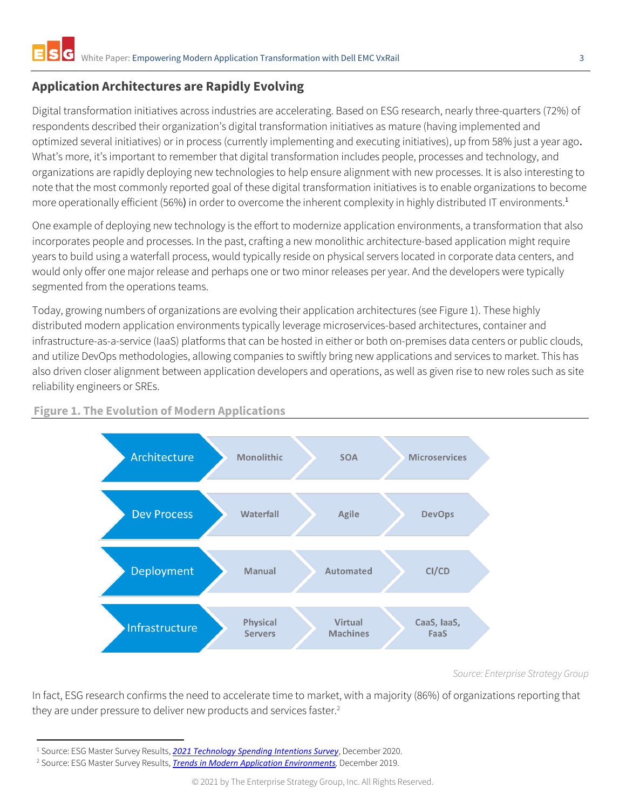## <span id="page-2-0"></span>**Application Architectures are Rapidly Evolving**

Digital transformation initiatives across industries are accelerating. Based on ESG research, nearly three-quarters (72%) of respondents described their organization's digital transformation initiatives as mature (having implemented and optimized several initiatives) or in process (currently implementing and executing initiatives), up from 58% just a year ago. What's more, it's important to remember that digital transformation includes people, processes and technology, and organizations are rapidly deploying new technologies to help ensure alignment with new processes. It is also interesting to note that the most commonly reported goal of these digital transformation initiatives is to enable organizations to become more operationally efficient (56%) in order to overcome the inherent complexity in highly distributed IT environments.<sup>1</sup>

One example of deploying new technology is the effort to modernize application environments, a transformation that also incorporates people and processes. In the past, crafting a new monolithic architecture-based application might require years to build using a waterfall process, would typically reside on physical servers located in corporate data centers, and would only offer one major release and perhaps one or two minor releases per year. And the developers were typically segmented from the operations teams.

Today, growing numbers of organizations are evolving their application architectures (see Figure 1). These highly distributed modern application environments typically leverage microservices-based architectures, container and infrastructure-as-a-service (IaaS) platforms that can be hosted in either or both on-premises data centers or public clouds, and utilize DevOps methodologies, allowing companies to swiftly bring new applications and services to market. This has also driven closer alignment between application developers and operations, as well as given rise to new roles such as site reliability engineers or SREs.



#### **Figure 1. The Evolution of Modern Applications**

*Source: Enterprise Strategy Group*

In fact, ESG research confirms the need to accelerate time to market, with a majority (86%) of organizations reporting that they are under pressure to deliver new products and services faster.<sup>2</sup>

<sup>1</sup> Source: ESG Master Survey Results, *[2021 Technology Spending Intentions Survey](https://research.esg-global.com/reportaction/MSR2021SpendingIntentionsDec2020/Toc)*, December 2020.

<sup>2</sup> Source: ESG Master Survey Results, *[Trends in Modern Application Environments](https://research.esg-global.com/reportaction/ContainerTrendsSurveyMSR2019/Toc),* December 2019.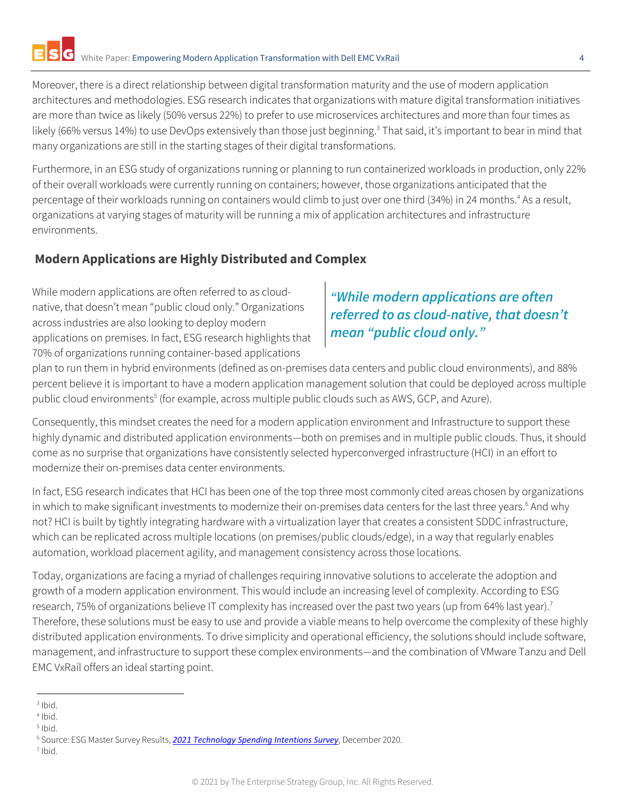Moreover, there is a direct relationship between digital transformation maturity and the use of modern application architectures and methodologies. ESG research indicates that organizations with mature digital transformation initiatives are more than twice as likely (50% versus 22%) to prefer to use microservices architectures and more than four times as likely (66% versus 14%) to use DevOps extensively than those just beginning.<sup>3</sup> That said, it's important to bear in mind that many organizations are still in the starting stages of their digital transformations.

Furthermore, in an ESG study of organizations running or planning to run containerized workloads in production, only 22% of their overall workloads were currently running on containers; however, those organizations anticipated that the percentage of their workloads running on containers would climb to just over one third (34%) in 24 months. <sup>4</sup> As a result, organizations at varying stages of maturity will be running a mix of application architectures and infrastructure environments.

## <span id="page-3-0"></span>**Modern Applications are Highly Distributed and Complex**

While modern applications are often referred to as cloudnative, that doesn't mean "public cloud only." Organizations across industries are also looking to deploy modern applications on premises. In fact, ESG research highlights that 70% of organizations running container-based applications

# *"While modern applications are often referred to as cloud-native, that doesn't mean "public cloud only."*

plan to run them in hybrid environments (defined as on-premises data centers and public cloud environments), and 88% percent believe it is important to have a modern application management solution that could be deployed across multiple public cloud environments<sup>5</sup> (for example, across multiple public clouds such as AWS, GCP, and Azure).

Consequently, this mindset creates the need for a modern application environment and Infrastructure to support these highly dynamic and distributed application environments—both on premises and in multiple public clouds. Thus, it should come as no surprise that organizations have consistently selected hyperconverged infrastructure (HCI) in an effort to modernize their on-premises data center environments.

In fact, ESG research indicates that HCI has been one of the top three most commonly cited areas chosen by organizations in which to make significant investments to modernize their on-premises data centers for the last three years.<sup>6</sup> And why not? HCI is built by tightly integrating hardware with a virtualization layer that creates a consistent SDDC infrastructure, which can be replicated across multiple locations (on premises/public clouds/edge), in a way that regularly enables automation, workload placement agility, and management consistency across those locations.

Today, organizations are facing a myriad of challenges requiring innovative solutions to accelerate the adoption and growth of a modern application environment. This would include an increasing level of complexity. According to ESG research, 75% of organizations believe IT complexity has increased over the past two years (up from 64% last year).<sup>7</sup> Therefore, these solutions must be easy to use and provide a viable means to help overcome the complexity of these highly distributed application environments. To drive simplicity and operational efficiency, the solutions should include software, management, and infrastructure to support these complex environments—and the combination of VMware Tanzu and Dell EMC VxRail offers an ideal starting point.

7 Ibid.

<sup>3</sup> Ibid.

<sup>4</sup> Ibid.

<sup>5</sup> Ibid.

<sup>6</sup> Source: ESG Master Survey Results, *[2021 Technology Spending Intentions Survey](https://research.esg-global.com/reportaction/MSR2021SpendingIntentionsDec2020/Toc)*, December 2020.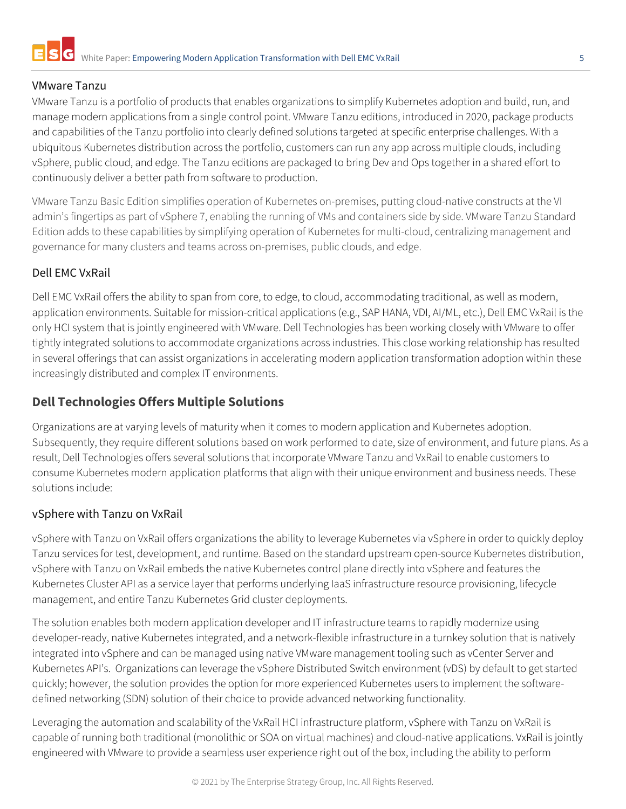## <span id="page-4-0"></span>VMware Tanzu

VMware Tanzu is a portfolio of products that enables organizations to simplify Kubernetes adoption and build, run, and manage modern applications from a single control point. VMware Tanzu editions, introduced in 2020, package products and capabilities of the Tanzu portfolio into clearly defined solutions targeted at specific enterprise challenges. With a ubiquitous Kubernetes distribution across the portfolio, customers can run any app across multiple clouds, including vSphere, public cloud, and edge. The Tanzu editions are packaged to bring Dev and Ops together in a shared effort to continuously deliver a better path from software to production.

VMware Tanzu Basic Edition simplifies operation of Kubernetes on-premises, putting cloud-native constructs at the VI admin's fingertips as part of vSphere 7, enabling the running of VMs and containers side by side. VMware Tanzu Standard Edition adds to these capabilities by simplifying operation of Kubernetes for multi-cloud, centralizing management and governance for many clusters and teams across on-premises, public clouds, and edge.

## <span id="page-4-1"></span>Dell EMC VxRail

Dell EMC VxRail offers the ability to span from core, to edge, to cloud, accommodating traditional, as well as modern, application environments. Suitable for mission-critical applications (e.g., SAP HANA, VDI, AI/ML, etc.), Dell EMC VxRail is the only HCI system that is jointly engineered with VMware. Dell Technologies has been working closely with VMware to offer tightly integrated solutions to accommodate organizations across industries. This close working relationship has resulted in several offerings that can assist organizations in accelerating modern application transformation adoption within these increasingly distributed and complex IT environments.

## <span id="page-4-2"></span>**Dell Technologies Offers Multiple Solutions**

Organizations are at varying levels of maturity when it comes to modern application and Kubernetes adoption. Subsequently, they require different solutions based on work performed to date, size of environment, and future plans. As a result, Dell Technologies offers several solutions that incorporate VMware Tanzu and VxRail to enable customers to consume Kubernetes modern application platforms that align with their unique environment and business needs. These solutions include:

## <span id="page-4-3"></span>vSphere with Tanzu on VxRail

vSphere with Tanzu on VxRail offers organizations the ability to leverage Kubernetes via vSphere in order to quickly deploy Tanzu services for test, development, and runtime. Based on the standard upstream open-source Kubernetes distribution, vSphere with Tanzu on VxRail embeds the native Kubernetes control plane directly into vSphere and features the Kubernetes Cluster API as a service layer that performs underlying IaaS infrastructure resource provisioning, lifecycle management, and entire Tanzu Kubernetes Grid cluster deployments.

The solution enables both modern application developer and IT infrastructure teams to rapidly modernize using developer-ready, native Kubernetes integrated, and a network-flexible infrastructure in a turnkey solution that is natively integrated into vSphere and can be managed using native VMware management tooling such as vCenter Server and Kubernetes API's. Organizations can leverage the vSphere Distributed Switch environment (vDS) by default to get started quickly; however, the solution provides the option for more experienced Kubernetes users to implement the softwaredefined networking (SDN) solution of their choice to provide advanced networking functionality.

Leveraging the automation and scalability of the VxRail HCI infrastructure platform, vSphere with Tanzu on VxRail is capable of running both traditional (monolithic or SOA on virtual machines) and cloud-native applications. VxRail is jointly engineered with VMware to provide a seamless user experience right out of the box, including the ability to perform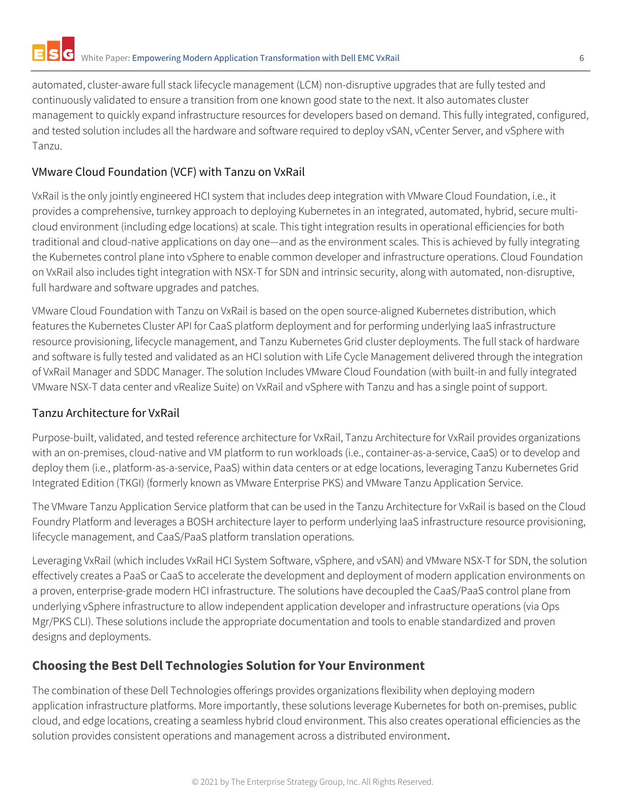automated, cluster-aware full stack lifecycle management (LCM) non-disruptive upgrades that are fully tested and continuously validated to ensure a transition from one known good state to the next. It also automates cluster management to quickly expand infrastructure resources for developers based on demand. This fully integrated, configured, and tested solution includes all the hardware and software required to deploy vSAN, vCenter Server, and vSphere with Tanzu.

## <span id="page-5-0"></span>VMware Cloud Foundation (VCF) with Tanzu on VxRail

VxRail is the only jointly engineered HCI system that includes deep integration with VMware Cloud Foundation, i.e., it provides a comprehensive, turnkey approach to deploying Kubernetes in an integrated, automated, hybrid, secure multicloud environment (including edge locations) at scale. This tight integration results in operational efficiencies for both traditional and cloud-native applications on day one—and as the environment scales. This is achieved by fully integrating the Kubernetes control plane into vSphere to enable common developer and infrastructure operations. Cloud Foundation on VxRail also includes tight integration with NSX-T for SDN and intrinsic security, along with automated, non-disruptive, full hardware and software upgrades and patches.

VMware Cloud Foundation with Tanzu on VxRail is based on the open source-aligned Kubernetes distribution, which features the Kubernetes Cluster API for CaaS platform deployment and for performing underlying IaaS infrastructure resource provisioning, lifecycle management, and Tanzu Kubernetes Grid cluster deployments. The full stack of hardware and software is fully tested and validated as an HCI solution with Life Cycle Management delivered through the integration of VxRail Manager and SDDC Manager. The solution Includes VMware Cloud Foundation (with built-in and fully integrated VMware NSX-T data center and vRealize Suite) on VxRail and vSphere with Tanzu and has a single point of support.

## <span id="page-5-1"></span>Tanzu Architecture for VxRail

Purpose-built, validated, and tested reference architecture for VxRail, Tanzu Architecture for VxRail provides organizations with an on-premises, cloud-native and VM platform to run workloads (i.e., container-as-a-service, CaaS) or to develop and deploy them (i.e., platform-as-a-service, PaaS) within data centers or at edge locations, leveraging Tanzu Kubernetes Grid Integrated Edition (TKGI) (formerly known as VMware Enterprise PKS) and VMware Tanzu Application Service.

The VMware Tanzu Application Service platform that can be used in the Tanzu Architecture for VxRail is based on the Cloud Foundry Platform and leverages a BOSH architecture layer to perform underlying IaaS infrastructure resource provisioning, lifecycle management, and CaaS/PaaS platform translation operations.

Leveraging VxRail (which includes VxRail HCI System Software, vSphere, and vSAN) and VMware NSX-T for SDN, the solution effectively creates a PaaS or CaaS to accelerate the development and deployment of modern application environments on a proven, enterprise-grade modern HCI infrastructure. The solutions have decoupled the CaaS/PaaS control plane from underlying vSphere infrastructure to allow independent application developer and infrastructure operations (via Ops Mgr/PKS CLI). These solutions include the appropriate documentation and tools to enable standardized and proven designs and deployments.

## <span id="page-5-2"></span>**Choosing the Best Dell Technologies Solution for Your Environment**

The combination of these Dell Technologies offerings provides organizations flexibility when deploying modern application infrastructure platforms. More importantly, these solutions leverage Kubernetes for both on-premises, public cloud, and edge locations, creating a seamless hybrid cloud environment. This also creates operational efficiencies as the solution provides consistent operations and management across a distributed environment.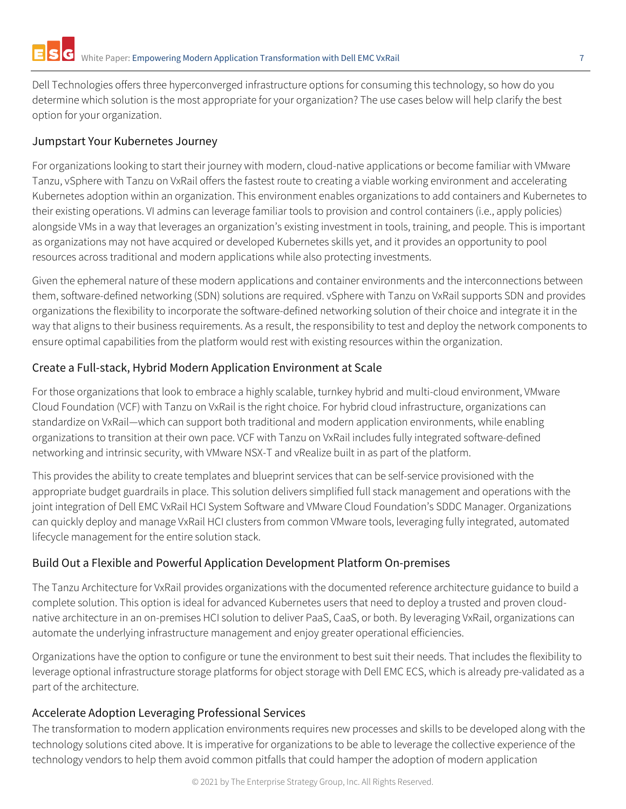Dell Technologies offers three hyperconverged infrastructure options for consuming this technology, so how do you determine which solution is the most appropriate for your organization? The use cases below will help clarify the best option for your organization.

#### <span id="page-6-0"></span>Jumpstart Your Kubernetes Journey

For organizations looking to start their journey with modern, cloud-native applications or become familiar with VMware Tanzu, vSphere with Tanzu on VxRail offers the fastest route to creating a viable working environment and accelerating Kubernetes adoption within an organization. This environment enables organizations to add containers and Kubernetes to their existing operations. VI admins can leverage familiar tools to provision and control containers (i.e., apply policies) alongside VMs in a way that leverages an organization's existing investment in tools, training, and people. This is important as organizations may not have acquired or developed Kubernetes skills yet, and it provides an opportunity to pool resources across traditional and modern applications while also protecting investments.

Given the ephemeral nature of these modern applications and container environments and the interconnections between them, software-defined networking (SDN) solutions are required. vSphere with Tanzu on VxRail supports SDN and provides organizations the flexibility to incorporate the software-defined networking solution of their choice and integrate it in the way that aligns to their business requirements. As a result, the responsibility to test and deploy the network components to ensure optimal capabilities from the platform would rest with existing resources within the organization.

#### <span id="page-6-1"></span>Create a Full-stack, Hybrid Modern Application Environment at Scale

For those organizations that look to embrace a highly scalable, turnkey hybrid and multi-cloud environment, VMware Cloud Foundation (VCF) with Tanzu on VxRail is the right choice. For hybrid cloud infrastructure, organizations can standardize on VxRail—which can support both traditional and modern application environments, while enabling organizations to transition at their own pace. VCF with Tanzu on VxRail includes fully integrated software-defined networking and intrinsic security, with VMware NSX-T and vRealize built in as part of the platform.

This provides the ability to create templates and blueprint services that can be self-service provisioned with the appropriate budget guardrails in place. This solution delivers simplified full stack management and operations with the joint integration of Dell EMC VxRail HCI System Software and VMware Cloud Foundation's SDDC Manager. Organizations can quickly deploy and manage VxRail HCI clusters from common VMware tools, leveraging fully integrated, automated lifecycle management for the entire solution stack.

## <span id="page-6-2"></span>Build Out a Flexible and Powerful Application Development Platform On-premises

The Tanzu Architecture for VxRail provides organizations with the documented reference architecture guidance to build a complete solution. This option is ideal for advanced Kubernetes users that need to deploy a trusted and proven cloudnative architecture in an on-premises HCI solution to deliver PaaS, CaaS, or both. By leveraging VxRail, organizations can automate the underlying infrastructure management and enjoy greater operational efficiencies.

Organizations have the option to configure or tune the environment to best suit their needs. That includes the flexibility to leverage optional infrastructure storage platforms for object storage with Dell EMC ECS, which is already pre-validated as a part of the architecture.

## <span id="page-6-3"></span>Accelerate Adoption Leveraging Professional Services

The transformation to modern application environments requires new processes and skills to be developed along with the technology solutions cited above. It is imperative for organizations to be able to leverage the collective experience of the technology vendors to help them avoid common pitfalls that could hamper the adoption of modern application